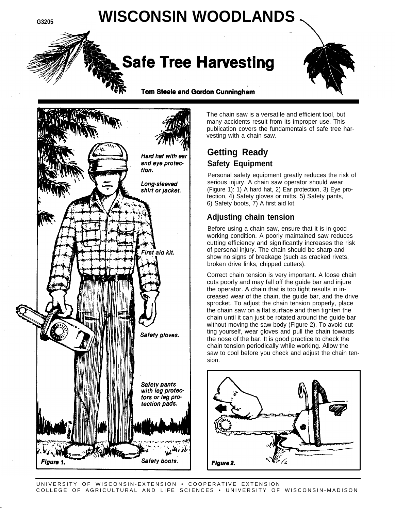# **G3205 WISCONSIN WOODLANDS**

## **Safe Tree Harvesting**



Tom Steele and Gordon Cunningham



The chain saw is a versatile and efficient tool, but many accidents result from its improper use. This publication covers the fundamentals of safe tree harvesting with a chain saw.

## **Getting Ready Safety Equipment**

Personal safety equipment greatly reduces the risk of serious injury. A chain saw operator should wear (Figure 1): 1) A hard hat, 2) Ear protection, 3) Eye protection, 4) Safety gloves or mitts, 5) Safety pants, 6) Safety boots, 7) A first aid kit.

#### **Adjusting chain tension**

Before using a chain saw, ensure that it is in good working condition. A poorly maintained saw reduces cutting efficiency and significantly increases the risk of personal injury. The chain should be sharp and show no signs of breakage (such as cracked rivets, broken drive links, chipped cutters).

Correct chain tension is very important. A loose chain cuts poorly and may fall off the guide bar and injure the operator. A chain that is too tight results in increased wear of the chain, the guide bar, and the drive sprocket. To adjust the chain tension properly, place the chain saw on a flat surface and then tighten the chain until it can just be rotated around the guide bar without moving the saw body (Figure 2). To avoid cutting yourself, wear gloves and pull the chain towards the nose of the bar. It is good practice to check the chain tension periodically while working. Allow the saw to cool before you check and adjust the chain tension.



-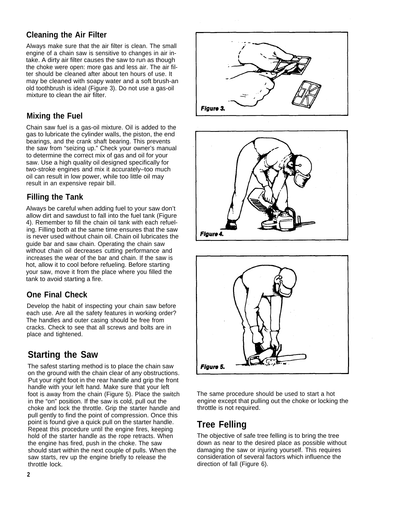## **Cleaning the Air Filter**

Always make sure that the air filter is clean. The small engine of a chain saw is sensitive to changes in air intake. A dirty air filter causes the saw to run as though the choke were open: more gas and less air. The air filter should be cleaned after about ten hours of use. It may be cleaned with soapy water and a soft brush-an old toothbrush is ideal (Figure 3). Do not use a gas-oil mixture to clean the air filter.

#### **Mixing the Fuel**

Chain saw fuel is a gas-oil mixture. Oil is added to the gas to lubricate the cylinder walls, the piston, the end bearings, and the crank shaft bearing. This prevents the saw from "seizing up." Check your owner's manual to determine the correct mix of gas and oil for your saw. Use a high quality oil designed specifically for two-stroke engines and mix it accurately–too much oil can result in low power, while too little oil may result in an expensive repair bill.

## **Filling the Tank**

Always be careful when adding fuel to your saw don't allow dirt and sawdust to fall into the fuel tank (Figure 4). Remember to fill the chain oil tank with each refueling. Filling both at the same time ensures that the saw is never used without chain oil. Chain oil lubricates the guide bar and saw chain. Operating the chain saw without chain oil decreases cutting performance and increases the wear of the bar and chain. If the saw is hot, allow it to cool before refueling. Before starting your saw, move it from the place where you filled the tank to avoid starting a fire.

## **One Final Check**

Develop the habit of inspecting your chain saw before each use. Are all the safety features in working order? The handles and outer casing should be free from cracks. Check to see that all screws and bolts are in place and tightened.

## **Starting the Saw**

The safest starting method is to place the chain saw on the ground with the chain clear of any obstructions. Put your right foot in the rear handle and grip the front handle with your left hand. Make sure that your left foot is away from the chain (Figure 5). Place the switch in the "on" position. If the saw is cold, pull out the choke and lock the throttle. Grip the starter handle and pull gently to find the point of compression. Once this point is found give a quick pull on the starter handle. Repeat this procedure until the engine fires, keeping hold of the starter handle as the rope retracts. When the engine has fired, push in the choke. The saw should start within the next couple of pulls. When the saw starts, rev up the engine briefly to release the throttle lock.







The same procedure should be used to start a hot engine except that pulling out the choke or locking the throttle is not required.

## **Tree Felling**

The objective of safe tree felling is to bring the tree down as near to the desired place as possible without damaging the saw or injuring yourself. This requires consideration of several factors which influence the direction of fall (Figure 6).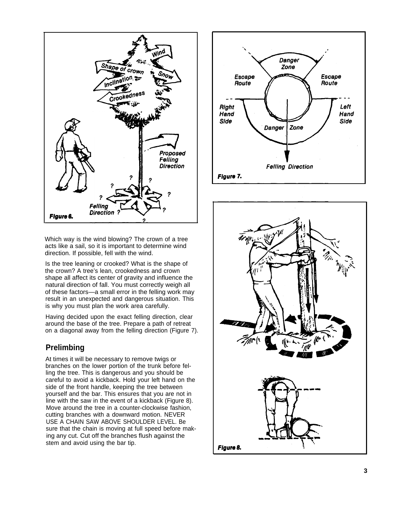

Which way is the wind blowing? The crown of a tree acts like a sail, so it is important to determine wind direction. If possible, fell with the wind.

Is the tree leaning or crooked? What is the shape of the crown? A tree's lean, crookedness and crown shape all affect its center of gravity and influence the natural direction of fall. You must correctly weigh all of these factors—a small error in the felling work may result in an unexpected and dangerous situation. This is why you must plan the work area carefully.

Having decided upon the exact felling direction, clear around the base of the tree. Prepare a path of retreat on a diagonal away from the felling direction (Figure 7).

#### **Prelimbing**

At times it will be necessary to remove twigs or branches on the lower portion of the trunk before felling the tree. This is dangerous and you should be careful to avoid a kickback. Hold your left hand on the side of the front handle, keeping the tree between yourself and the bar. This ensures that you are not in line with the saw in the event of a kickback (Figure 8). Move around the tree in a counter-clockwise fashion, cutting branches with a downward motion. NEVER USE A CHAIN SAW ABOVE SHOULDER LEVEL. Be sure that the chain is moving at full speed before making any cut. Cut off the branches flush against the stem and avoid using the bar tip.



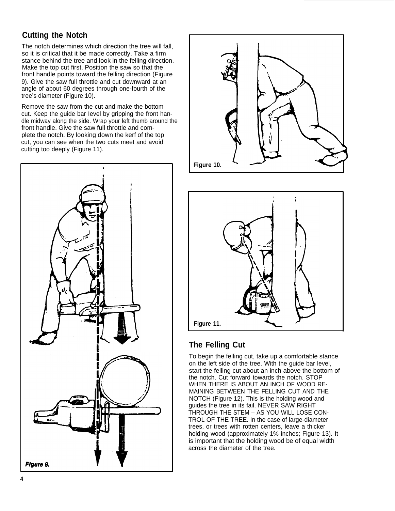## **Cutting the Notch**

The notch determines which direction the tree will fall, so it is critical that it be made correctly. Take a firm stance behind the tree and look in the felling direction. Make the top cut first. Position the saw so that the front handle points toward the felling direction (Figure 9). Give the saw full throttle and cut downward at an angle of about 60 degrees through one-fourth of the tree's diameter (Figure 10).

Remove the saw from the cut and make the bottom cut. Keep the guide bar Ievel by gripping the front handle midway along the side. Wrap your left thumb around the front handle. Give the saw full throttle and complete the notch. By looking down the kerf of the top cut, you can see when the two cuts meet and avoid cutting too deeply (Figure 11).







#### **The Felling Cut**

To begin the felling cut, take up a comfortable stance on the left side of the tree. With the guide bar level, start the felling cut about an inch above the bottom of the notch. Cut forward towards the notch. STOP WHEN THERE IS ABOUT AN INCH OF WOOD RE-MAINING BETWEEN THE FELLING CUT AND THE NOTCH (Figure 12). This is the holding wood and guides the tree in its fail. NEVER SAW RIGHT THROUGH THE STEM – AS YOU WILL LOSE CON-TROL OF THE TREE. In the case of large-diameter trees, or trees with rotten centers, leave a thicker holding wood (approximately 1% inches; Figure 13). It is important that the holding wood be of equal width across the diameter of the tree.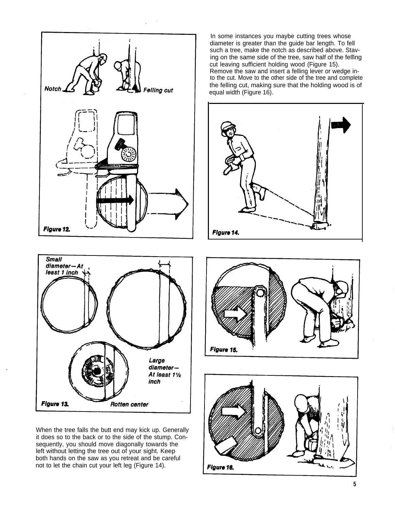

In some instances you maybe cutting trees whose diameter is greater than the guide bar length. To fell such a tree, make the notch as described above. Stav- . ing on the same side of the tree, saw half of the felling cut leaving sufficient holding wood (Figure 15). Remove the saw and insert a felling lever or wedge in to the cut. Move to the other side of the tree and complete the felling cut, making sure that the holding wood is of equal width (Figure 16).





.

When the tree falls the butt end may kick up. Generally it does so to the back or to the side of the stump. Consequently, you should move diagonally towards the left without letting the tree out of your sight. Keep both hands on the saw as you retreat and be careful not to let the chain cut your left leg (Figure 14).



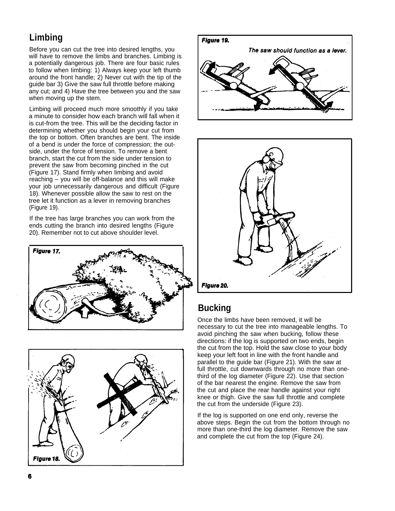## **Limbing**

Before you can cut the tree into desired lengths, you will have to remove the limbs and branches. Limbing is a potentially dangerous job. There are four basic rules to follow when Iimbing: 1) Always keep your left thumb around the front handle; 2) Never cut with the tip of the guide bar 3) Give the saw full throttle before making any cut; and 4) Have the tree between you and the saw when moving up the stem.

Limbing will proceed much more smoothly if you take a minute to consider how each branch will fall when it is cut-from the tree. This will be the deciding factor in determining whether you should begin your cut from the top or bottom. Often branches are bent. The inside of a bend is under the force of compression; the outside, under the force of tension. To remove a bent branch, start the cut from the side under tension to prevent the saw from becoming pinched in the cut (Figure 17). Stand firmly when Iimbing and avoid reaching – you will be off-balance and this will make your job unnecessarily dangerous and difficult (Figure 18). Whenever possible allow the saw to rest on the tree let it function as a lever in removing branches (Figure 19).

If the tree has large branches you can work from the ends cutting the branch into desired lengths (Figure 20). Remember not to cut above shoulder level.









## **Bucking**

Once the limbs have been removed, it will be necessary to cut the tree into manageable lengths. To avoid pinching the saw when bucking, follow these directions: if the log is supported on two ends, begin the cut from the top. Hold the saw close to your body keep your left foot in line with the front handle and parallel to the guide bar (Figure 21). With the saw at full throttle, cut downwards through no more than onethird of the log diameter (Figure 22). Use that section of the bar nearest the engine. Remove the saw from the cut and place the rear handle against your right knee or thigh. Give the saw full throttle and complete the cut from the underside (Figure 23).

If the log is supported on one end only, reverse the above steps. Begin the cut from the bottom through no more than one-third the log diameter. Remove the saw and complete the cut from the top (Figure 24).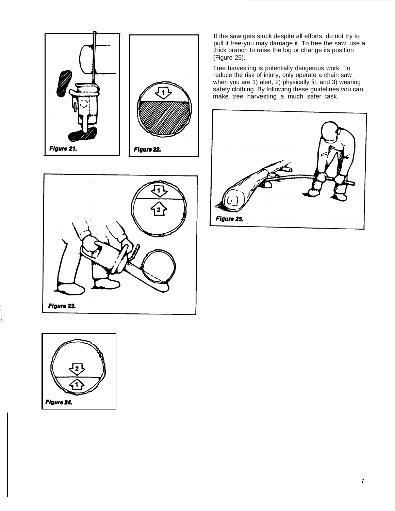



If the saw gets stuck despite all efforts, do not try to pull it free-you may damage it. To free the saw, use a thick branch to raise the log or change its position (Figure 25).

Tree harvesting is potentially dangerous work. To reduce the risk of injury, only operate a chain saw when you are 1) alert, 2) physically fit, and 3) wearing safety clothing. By following these guidelines vou can make tree harvesting a much safer task. **-**